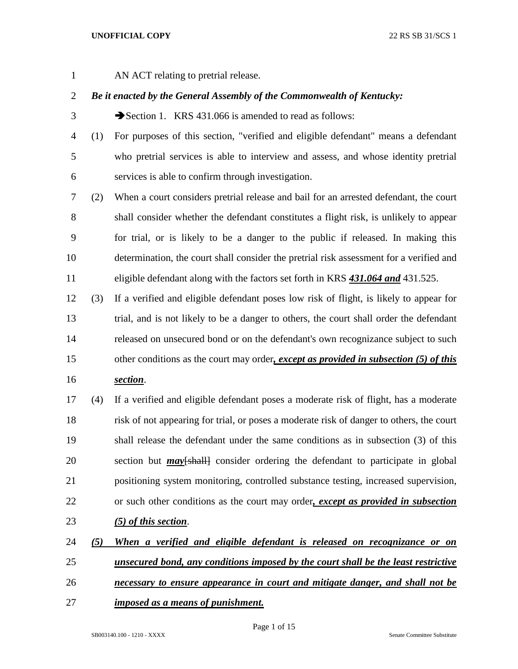AN ACT relating to pretrial release.

# *Be it enacted by the General Assembly of the Commonwealth of Kentucky:*

3 Section 1. KRS 431.066 is amended to read as follows:

 (1) For purposes of this section, "verified and eligible defendant" means a defendant who pretrial services is able to interview and assess, and whose identity pretrial services is able to confirm through investigation.

 (2) When a court considers pretrial release and bail for an arrested defendant, the court shall consider whether the defendant constitutes a flight risk, is unlikely to appear for trial, or is likely to be a danger to the public if released. In making this determination, the court shall consider the pretrial risk assessment for a verified and eligible defendant along with the factors set forth in KRS *431.064 and* 431.525.

 (3) If a verified and eligible defendant poses low risk of flight, is likely to appear for trial, and is not likely to be a danger to others, the court shall order the defendant released on unsecured bond or on the defendant's own recognizance subject to such other conditions as the court may order*, except as provided in subsection (5) of this* 

*section*.

 (4) If a verified and eligible defendant poses a moderate risk of flight, has a moderate risk of not appearing for trial, or poses a moderate risk of danger to others, the court shall release the defendant under the same conditions as in subsection (3) of this 20 section but *may* [shall] consider ordering the defendant to participate in global positioning system monitoring, controlled substance testing, increased supervision, or such other conditions as the court may order*, except as provided in subsection* 

- *(5) of this section*.
- *(5) When a verified and eligible defendant is released on recognizance or on unsecured bond, any conditions imposed by the court shall be the least restrictive*
- *necessary to ensure appearance in court and mitigate danger, and shall not be*
- *imposed as a means of punishment.*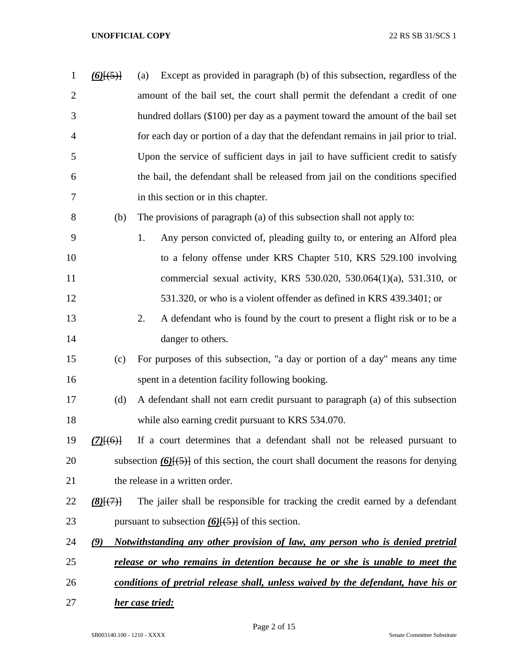| $\mathbf{1}$   | $\underline{(6)}[\overline{(5)}]$ | Except as provided in paragraph (b) of this subsection, regardless of the<br>(a)         |
|----------------|-----------------------------------|------------------------------------------------------------------------------------------|
| $\overline{2}$ |                                   | amount of the bail set, the court shall permit the defendant a credit of one             |
| 3              |                                   | hundred dollars (\$100) per day as a payment toward the amount of the bail set           |
| 4              |                                   | for each day or portion of a day that the defendant remains in jail prior to trial.      |
| 5              |                                   | Upon the service of sufficient days in jail to have sufficient credit to satisfy         |
| 6              |                                   | the bail, the defendant shall be released from jail on the conditions specified          |
| 7              |                                   | in this section or in this chapter.                                                      |
| 8              | (b)                               | The provisions of paragraph (a) of this subsection shall not apply to:                   |
| 9              |                                   | Any person convicted of, pleading guilty to, or entering an Alford plea<br>1.            |
| 10             |                                   | to a felony offense under KRS Chapter 510, KRS 529.100 involving                         |
| 11             |                                   | commercial sexual activity, KRS 530.020, 530.064(1)(a), 531.310, or                      |
| 12             |                                   | 531.320, or who is a violent offender as defined in KRS 439.3401; or                     |
| 13             |                                   | 2.<br>A defendant who is found by the court to present a flight risk or to be a          |
| 14             |                                   | danger to others.                                                                        |
| 15             | (c)                               | For purposes of this subsection, "a day or portion of a day" means any time              |
| 16             |                                   | spent in a detention facility following booking.                                         |
| 17             | (d)                               | A defendant shall not earn credit pursuant to paragraph (a) of this subsection           |
| 18             |                                   | while also earning credit pursuant to KRS 534.070.                                       |
| 19             | $(7)$ $(6)$ }                     | If a court determines that a defendant shall not be released pursuant to                 |
| 20             |                                   | subsection $(6)$ [(5)] of this section, the court shall document the reasons for denying |
| 21             |                                   | the release in a written order.                                                          |
| 22             | (8)(7)                            | The jailer shall be responsible for tracking the credit earned by a defendant            |
| 23             |                                   | pursuant to subsection $(6)$ { $(5)$ } of this section.                                  |
| 24             | $\mathcal{L}$                     | Notwithstanding any other provision of law, any person who is denied pretrial            |
| 25             |                                   | <u>release or who remains in detention because he or she is unable to meet the</u>       |
| 26             |                                   | conditions of pretrial release shall, unless waived by the defendant, have his or        |
| 27             |                                   | her case tried:                                                                          |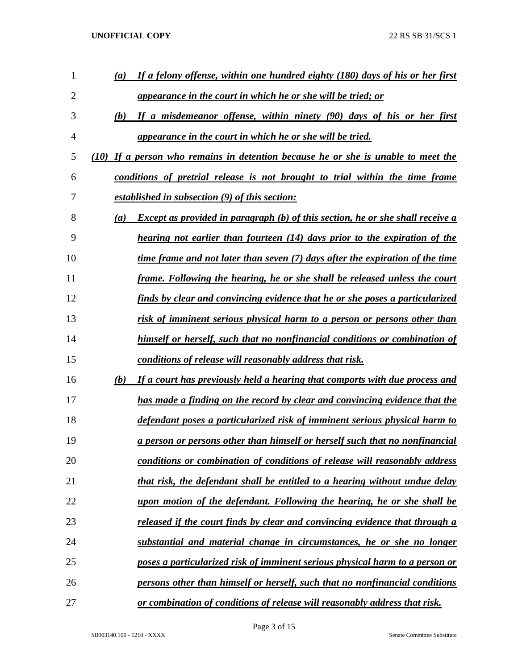| 1              | (a)  | If a felony offense, within one hundred eighty (180) days of his or her first         |
|----------------|------|---------------------------------------------------------------------------------------|
| $\overline{2}$ |      | <u>appearance in the court in which he or she will be tried; or</u>                   |
| 3              | (b)  | If a misdemeanor offense, within ninety (90) days of his or her first                 |
| 4              |      | appearance in the court in which he or she will be tried.                             |
| 5              | (10) | If a person who remains in detention because he or she is unable to meet the          |
| 6              |      | conditions of pretrial release is not brought to trial within the time frame          |
| 7              |      | established in subsection (9) of this section:                                        |
| 8              | (a)  | <b>Except as provided in paragraph (b) of this section, he or she shall receive a</b> |
| 9              |      | hearing not earlier than fourteen (14) days prior to the expiration of the            |
| 10             |      | time frame and not later than seven (7) days after the expiration of the time         |
| 11             |      | frame. Following the hearing, he or she shall be released unless the court            |
| 12             |      | finds by clear and convincing evidence that he or she poses a particularized          |
| 13             |      | risk of imminent serious physical harm to a person or persons other than              |
| 14             |      | himself or herself, such that no nonfinancial conditions or combination of            |
| 15             |      | conditions of release will reasonably address that risk.                              |
| 16             | (b)  | If a court has previously held a hearing that comports with due process and           |
| 17             |      | has made a finding on the record by clear and convincing evidence that the            |
| 18             |      | defendant poses a particularized risk of imminent serious physical harm to            |
| 19             |      | a person or persons other than himself or herself such that no nonfinancial           |
| 20             |      | conditions or combination of conditions of release will reasonably address            |
| 21             |      | that risk, the defendant shall be entitled to a hearing without undue delay           |
| 22             |      | upon motion of the defendant. Following the hearing, he or she shall be               |
| 23             |      | released if the court finds by clear and convincing evidence that through a           |
| 24             |      | substantial and material change in circumstances, he or she no longer                 |
| 25             |      | <u>poses a particularized risk of imminent serious physical harm to a person or</u>   |
| 26             |      | persons other than himself or herself, such that no nonfinancial conditions           |
| 27             |      | or combination of conditions of release will reasonably address that risk.            |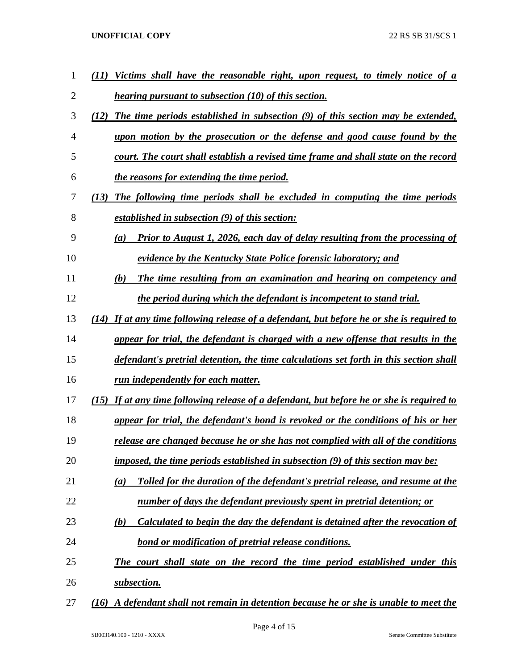| 1  | Victims shall have the reasonable right, upon request, to timely notice of a<br>77)          |
|----|----------------------------------------------------------------------------------------------|
| 2  | <i>hearing pursuant to subsection (10) of this section.</i>                                  |
| 3  | The time periods established in subsection (9) of this section may be extended,<br>(12)      |
| 4  | upon motion by the prosecution or the defense and good cause found by the                    |
| 5  | court. The court shall establish a revised time frame and shall state on the record          |
| 6  | the reasons for extending the time period.                                                   |
| 7  | The following time periods shall be excluded in computing the time periods<br>(13)           |
| 8  | established in subsection (9) of this section:                                               |
| 9  | Prior to August 1, 2026, each day of delay resulting from the processing of<br>(a)           |
| 10 | evidence by the Kentucky State Police forensic laboratory; and                               |
| 11 | The time resulting from an examination and hearing on competency and<br>(b)                  |
| 12 | the period during which the defendant is incompetent to stand trial.                         |
| 13 | $(14)$ If at any time following release of a defendant, but before he or she is required to  |
| 14 | appear for trial, the defendant is charged with a new offense that results in the            |
| 15 | defendant's pretrial detention, the time calculations set forth in this section shall        |
| 16 | <u>run independently for each matter.</u>                                                    |
| 17 | If at any time following release of a defendant, but before he or she is required to<br>(15) |
| 18 | appear for trial, the defendant's bond is revoked or the conditions of his or her            |
| 19 | release are changed because he or she has not complied with all of the conditions            |
| 20 | imposed, the time periods established in subsection (9) of this section may be:              |
| 21 | Tolled for the duration of the defendant's pretrial release, and resume at the<br>(a)        |
| 22 | number of days the defendant previously spent in pretrial detention; or                      |
| 23 | Calculated to begin the day the defendant is detained after the revocation of<br>(b)         |
| 24 | <u>bond or modification of pretrial release conditions.</u>                                  |
| 25 | The court shall state on the record the time period established under this                   |
| 26 | subsection.                                                                                  |
| 27 | A defendant shall not remain in detention because he or she is unable to meet the<br>(16)    |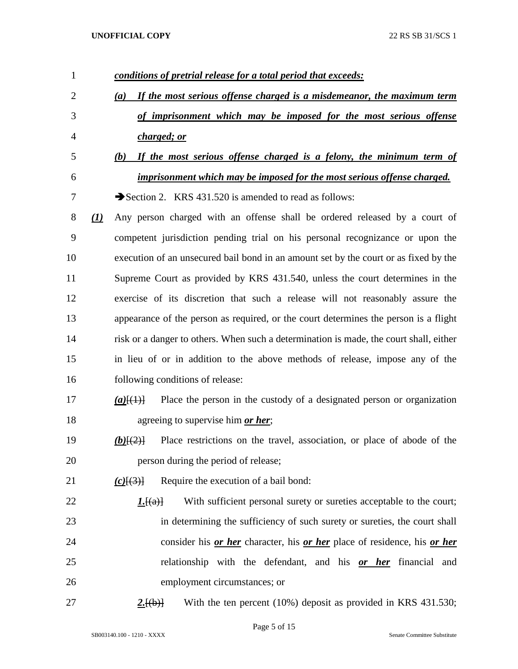| 1              |                               | conditions of pretrial release for a total period that exceeds:                               |
|----------------|-------------------------------|-----------------------------------------------------------------------------------------------|
| $\overline{2}$ |                               | If the most serious offense charged is a misdemeanor, the maximum term<br>(a)                 |
| 3              |                               | of imprisonment which may be imposed for the most serious offense                             |
| 4              |                               | charged; or                                                                                   |
| 5              |                               | If the most serious offense charged is a felony, the minimum term of<br>(b)                   |
| 6              |                               | imprisonment which may be imposed for the most serious offense charged.                       |
| 7              |                               | Section 2. KRS 431.520 is amended to read as follows:                                         |
| $8\,$          | $\left( \underline{I}\right)$ | Any person charged with an offense shall be ordered released by a court of                    |
| 9              |                               | competent jurisdiction pending trial on his personal recognizance or upon the                 |
| 10             |                               | execution of an unsecured bail bond in an amount set by the court or as fixed by the          |
| 11             |                               | Supreme Court as provided by KRS 431.540, unless the court determines in the                  |
| 12             |                               | exercise of its discretion that such a release will not reasonably assure the                 |
| 13             |                               | appearance of the person as required, or the court determines the person is a flight          |
| 14             |                               | risk or a danger to others. When such a determination is made, the court shall, either        |
| 15             |                               | in lieu of or in addition to the above methods of release, impose any of the                  |
| 16             |                               | following conditions of release:                                                              |
| 17             |                               | Place the person in the custody of a designated person or organization<br>$(a)$ $(4)$         |
| 18             |                               | agreeing to supervise him <i>or her</i> ;                                                     |
| 19             |                               | Place restrictions on the travel, association, or place of abode of the<br>$(b)$ $\{2\}$      |
| 20             |                               | person during the period of release;                                                          |
| 21             |                               | Require the execution of a bail bond:<br>$(c)$ $\{(\cdot)\}$                                  |
| 22             |                               | With sufficient personal surety or sureties acceptable to the court;<br>1.[(a)]               |
| 23             |                               | in determining the sufficiency of such surety or sureties, the court shall                    |
| 24             |                               | consider his <u>or her</u> character, his <u>or her</u> place of residence, his <u>or her</u> |
| 25             |                               | relationship with the defendant, and his <u>or her</u> financial and                          |
| 26             |                               | employment circumstances; or                                                                  |
| 27             |                               | With the ten percent (10%) deposit as provided in KRS 431.530;<br>2.[(b)]                     |

Page 5 of 15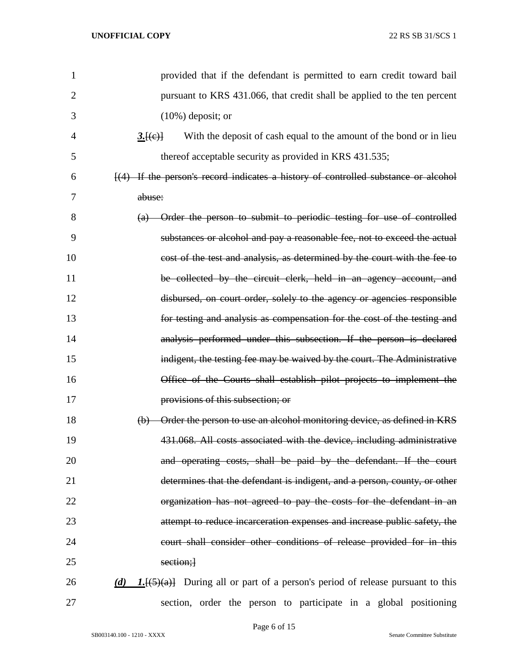| $\mathbf{1}$   | provided that if the defendant is permitted to earn credit toward bail                                    |
|----------------|-----------------------------------------------------------------------------------------------------------|
| $\overline{2}$ | pursuant to KRS 431.066, that credit shall be applied to the ten percent                                  |
| 3              | $(10\%)$ deposit; or                                                                                      |
| 4              | 3.[(e)]<br>With the deposit of cash equal to the amount of the bond or in lieu                            |
| 5              | thereof acceptable security as provided in KRS 431.535;                                                   |
| 6              | $\left(\frac{4}{4}\right)$ If the person's record indicates a history of controlled substance or alcohol  |
| 7              | abuse:                                                                                                    |
| 8              | (a) Order the person to submit to periodic testing for use of controlled                                  |
| 9              | substances or alcohol and pay a reasonable fee, not to exceed the actual                                  |
| 10             | cost of the test and analysis, as determined by the court with the fee to                                 |
| 11             | be collected by the circuit clerk, held in an agency account, and                                         |
| 12             | disbursed, on court order, solely to the agency or agencies responsible                                   |
| 13             | for testing and analysis as compensation for the cost of the testing and                                  |
| 14             | analysis performed under this subsection. If the person is declared                                       |
| 15             | indigent, the testing fee may be waived by the court. The Administrative                                  |
| 16             | Office of the Courts shall establish pilot projects to implement the                                      |
| 17             | provisions of this subsection; or                                                                         |
| 18             | (b) Order the person to use an alcohol monitoring device, as defined in KRS                               |
| 19             | 431.068. All costs associated with the device, including administrative                                   |
| 20             | and operating costs, shall be paid by the defendant. If the court                                         |
| 21             | determines that the defendant is indigent, and a person, county, or other                                 |
| 22             | organization has not agreed to pay the costs for the defendant in an                                      |
| 23             | attempt to reduce incarceration expenses and increase public safety, the                                  |
| 24             | court shall consider other conditions of release provided for in this                                     |
| 25             | section;]                                                                                                 |
| 26             | (d) 1. $\left[ \frac{5}{(4)} \right]$ During all or part of a person's period of release pursuant to this |
| 27             | section, order the person to participate in a global positioning                                          |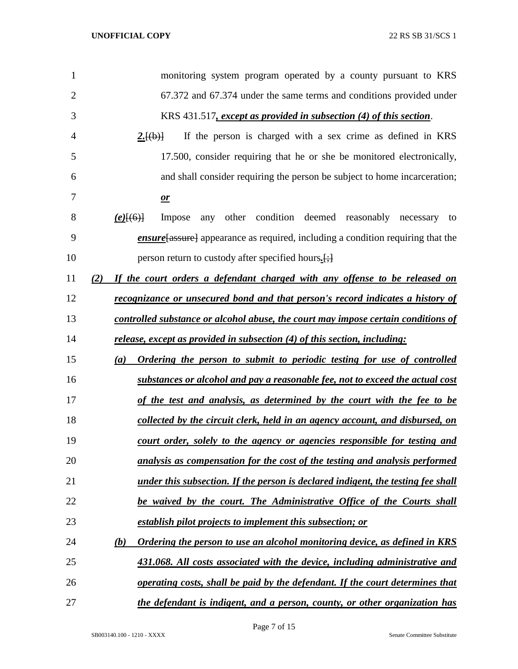| 1              | monitoring system program operated by a county pursuant to KRS                        |
|----------------|---------------------------------------------------------------------------------------|
| $\overline{2}$ | 67.372 and 67.374 under the same terms and conditions provided under                  |
| 3              | KRS 431.517, except as provided in subsection (4) of this section.                    |
| 4              | 2.[(b)]<br>If the person is charged with a sex crime as defined in KRS                |
| 5              | 17.500, consider requiring that he or she be monitored electronically,                |
| 6              | and shall consider requiring the person be subject to home incarceration;             |
| 7              | $\mathbf{r}$                                                                          |
| 8              | other condition deemed reasonably necessary<br>$(e)$ [(6)]<br>Impose<br>any<br>to     |
| 9              | <i>ensure</i> assure appearance as required, including a condition requiring that the |
| 10             | person return to custody after specified hours.                                       |
| 11             | If the court orders a defendant charged with any offense to be released on<br>(2)     |
| 12             | <u>recognizance or unsecured bond and that person's record indicates a history of</u> |
| 13             | controlled substance or alcohol abuse, the court may impose certain conditions of     |
| 14             | release, except as provided in subsection (4) of this section, including:             |
| 15             | Ordering the person to submit to periodic testing for use of controlled<br>(a)        |
| 16             | substances or alcohol and pay a reasonable fee, not to exceed the actual cost         |
| 17             | of the test and analysis, as determined by the court with the fee to be               |
| 18             | collected by the circuit clerk, held in an agency account, and disbursed, on          |
| 19             | court order, solely to the agency or agencies responsible for testing and             |
| 20             | analysis as compensation for the cost of the testing and analysis performed           |
| 21             | under this subsection. If the person is declared indigent, the testing fee shall      |
| 22             | be waived by the court. The Administrative Office of the Courts shall                 |
| 23             | establish pilot projects to implement this subsection; or                             |
| 24             | Ordering the person to use an alcohol monitoring device, as defined in KRS<br>(b)     |
| 25             | 431.068. All costs associated with the device, including administrative and           |
| 26             | operating costs, shall be paid by the defendant. If the court determines that         |
| 27             | the defendant is indigent, and a person, county, or other organization has            |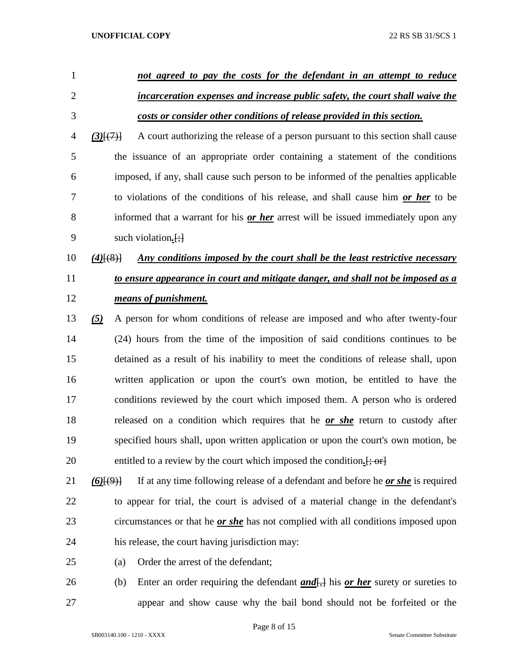| $\mathbf{1}$   | not agreed to pay the costs for the defendant in an attempt to reduce                                      |
|----------------|------------------------------------------------------------------------------------------------------------|
| $\overline{2}$ | incarceration expenses and increase public safety, the court shall waive the                               |
| 3              | costs or consider other conditions of release provided in this section.                                    |
| 4              | A court authorizing the release of a person pursuant to this section shall cause<br>$(3)$ $\{7\}$          |
| 5              | the issuance of an appropriate order containing a statement of the conditions                              |
| 6              | imposed, if any, shall cause such person to be informed of the penalties applicable                        |
| 7              | to violations of the conditions of his release, and shall cause him or her to be                           |
| 8              | informed that a warrant for his or her arrest will be issued immediately upon any                          |
| 9              | such violation. $\left[\cdot\right]$                                                                       |
| 10             | Any conditions imposed by the court shall be the least restrictive necessary<br>$(4)$ $(8)$                |
| 11             | to ensure appearance in court and mitigate danger, and shall not be imposed as a                           |
| 12             | means of punishment.                                                                                       |
| 13             | A person for whom conditions of release are imposed and who after twenty-four<br>(5)                       |
| 14             | (24) hours from the time of the imposition of said conditions continues to be                              |
| 15             | detained as a result of his inability to meet the conditions of release shall, upon                        |
| 16             | written application or upon the court's own motion, be entitled to have the                                |
| 17             | conditions reviewed by the court which imposed them. A person who is ordered                               |
| 18             | released on a condition which requires that he or she return to custody after                              |
| 19             | specified hours shall, upon written application or upon the court's own motion, be                         |
| 20             | entitled to a review by the court which imposed the condition. [; or]                                      |
| 21             | If at any time following release of a defendant and before he <i>or she</i> is required<br>$(6)$ [ $(9)$ ] |
| 22             | to appear for trial, the court is advised of a material change in the defendant's                          |
| 23             | circumstances or that he <u>or she</u> has not complied with all conditions imposed upon                   |
| 24             | his release, the court having jurisdiction may:                                                            |
| 25             | Order the arrest of the defendant;<br>(a)                                                                  |

26 (b) Enter an order requiring the defendant *and*<sub>[</sub>,] his *or her* surety or sureties to appear and show cause why the bail bond should not be forfeited or the

Page 8 of 15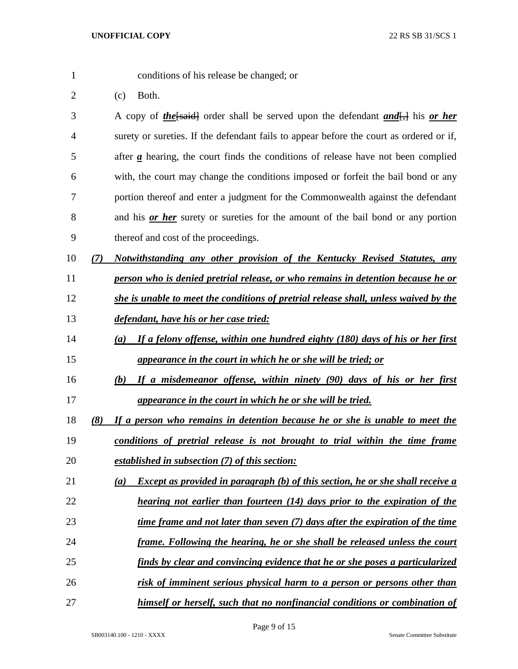- 
- conditions of his release be changed; or
- (c) Both.

 A copy of *the*[said] order shall be served upon the defendant *and*[,] his *or her* surety or sureties. If the defendant fails to appear before the court as ordered or if, after *a* hearing, the court finds the conditions of release have not been complied with, the court may change the conditions imposed or forfeit the bail bond or any portion thereof and enter a judgment for the Commonwealth against the defendant and his *or her* surety or sureties for the amount of the bail bond or any portion thereof and cost of the proceedings.

- *(7) Notwithstanding any other provision of the Kentucky Revised Statutes, any*
- *person who is denied pretrial release, or who remains in detention because he or*
- *she is unable to meet the conditions of pretrial release shall, unless waived by the*
- *defendant, have his or her case tried:*
- *(a) If a felony offense, within one hundred eighty (180) days of his or her first appearance in the court in which he or she will be tried; or*
- *(b) If a misdemeanor offense, within ninety (90) days of his or her first appearance in the court in which he or she will be tried.*
- *(8) If a person who remains in detention because he or she is unable to meet the conditions of pretrial release is not brought to trial within the time frame*
- *established in subsection (7) of this section:*
- *(a) Except as provided in paragraph (b) of this section, he or she shall receive a*
- *hearing not earlier than fourteen (14) days prior to the expiration of the*
- *time frame and not later than seven (7) days after the expiration of the time*
- *frame. Following the hearing, he or she shall be released unless the court*
- *finds by clear and convincing evidence that he or she poses a particularized*
- *risk of imminent serious physical harm to a person or persons other than*
- *himself or herself, such that no nonfinancial conditions or combination of*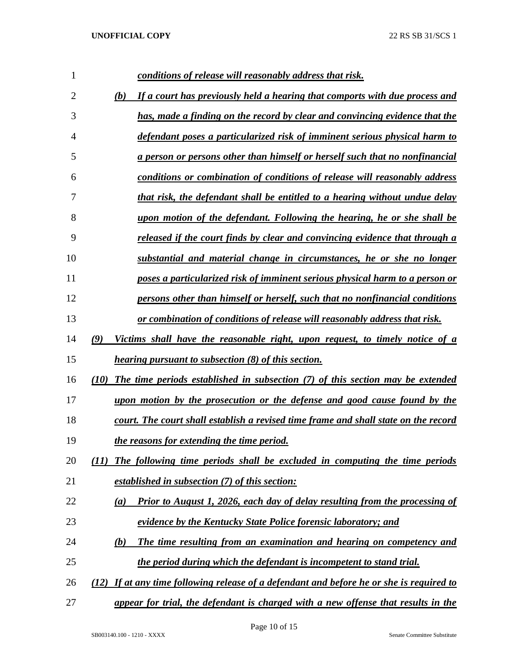| 1              | conditions of release will reasonably address that risk.                                  |
|----------------|-------------------------------------------------------------------------------------------|
| $\overline{2}$ | If a court has previously held a hearing that comports with due process and<br>(b)        |
| 3              | has, made a finding on the record by clear and convincing evidence that the               |
| $\overline{4}$ | defendant poses a particularized risk of imminent serious physical harm to                |
| 5              | a person or persons other than himself or herself such that no nonfinancial               |
| 6              | conditions or combination of conditions of release will reasonably address                |
| 7              | that risk, the defendant shall be entitled to a hearing without undue delay               |
| 8              | upon motion of the defendant. Following the hearing, he or she shall be                   |
| 9              | released if the court finds by clear and convincing evidence that through a               |
| 10             | substantial and material change in circumstances, he or she no longer                     |
| 11             | poses a particularized risk of imminent serious physical harm to a person or              |
| 12             | persons other than himself or herself, such that no nonfinancial conditions               |
| 13             | or combination of conditions of release will reasonably address that risk.                |
| 14             | (9)<br>Victims shall have the reasonable right, upon request, to timely notice of a       |
| 15             | <i>hearing pursuant to subsection (8) of this section.</i>                                |
| 16             | The time periods established in subsection (7) of this section may be extended<br>(10)    |
| 17             | upon motion by the prosecution or the defense and good cause found by the                 |
| 18             | court. The court shall establish a revised time frame and shall state on the record       |
| 19             | the reasons for extending the time period.                                                |
| 20             | The following time periods shall be excluded in computing the time periods<br>(11)        |
| 21             | established in subsection (7) of this section:                                            |
| 22             | <b>Prior to August 1, 2026, each day of delay resulting from the processing of</b><br>(a) |
| 23             | evidence by the Kentucky State Police forensic laboratory; and                            |
| 24             | The time resulting from an examination and hearing on competency and<br>(b)               |
| 25             | the period during which the defendant is incompetent to stand trial.                      |
| 26             | (12) If at any time following release of a defendant and before he or she is required to  |
| 27             | appear for trial, the defendant is charged with a new offense that results in the         |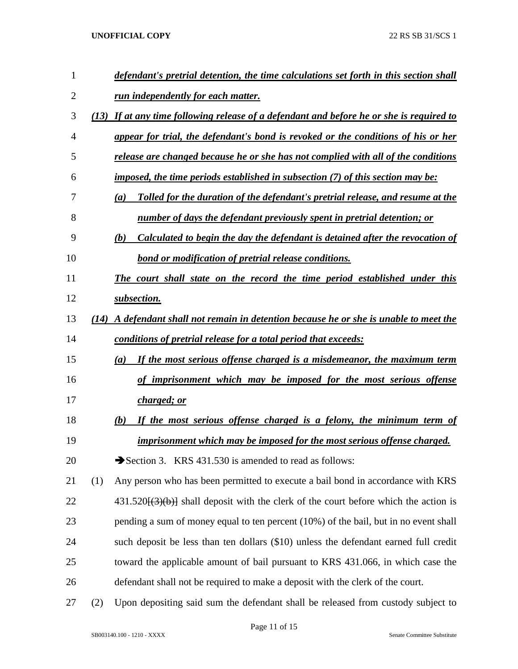| 1              |     | defendant's pretrial detention, the time calculations set forth in this section shall     |
|----------------|-----|-------------------------------------------------------------------------------------------|
| $\overline{2}$ |     | run independently for each matter.                                                        |
| 3              |     | (13) If at any time following release of a defendant and before he or she is required to  |
| 4              |     | appear for trial, the defendant's bond is revoked or the conditions of his or her         |
| 5              |     | release are changed because he or she has not complied with all of the conditions         |
| 6              |     | imposed, the time periods established in subsection (7) of this section may be:           |
| 7              |     | Tolled for the duration of the defendant's pretrial release, and resume at the<br>(a)     |
| 8              |     | <u>number of days the defendant previously spent in pretrial detention; or</u>            |
| 9              |     | Calculated to begin the day the defendant is detained after the revocation of<br>(b)      |
| 10             |     | <b>bond or modification of pretrial release conditions.</b>                               |
| 11             |     | The court shall state on the record the time period established under this                |
| 12             |     | subsection.                                                                               |
| 13             |     | (14) A defendant shall not remain in detention because he or she is unable to meet the    |
| 14             |     | conditions of pretrial release for a total period that exceeds:                           |
| 15             |     | If the most serious offense charged is a misdemeanor, the maximum term<br>(a)             |
| 16             |     | of imprisonment which may be imposed for the most serious offense                         |
| 17             |     | <u>charged; or</u>                                                                        |
| 18             |     | If the most serious offense charged is a felony, the minimum term of<br>(b)               |
| 19             |     | imprisonment which may be imposed for the most serious offense charged.                   |
| 20             |     | Section 3. KRS 431.530 is amended to read as follows:                                     |
| 21             | (1) | Any person who has been permitted to execute a bail bond in accordance with KRS           |
| 22             |     | $431.520\{(3)(b)\}\$ shall deposit with the clerk of the court before which the action is |
| 23             |     | pending a sum of money equal to ten percent (10%) of the bail, but in no event shall      |
| 24             |     | such deposit be less than ten dollars (\$10) unless the defendant earned full credit      |
| 25             |     | toward the applicable amount of bail pursuant to KRS 431.066, in which case the           |
| 26             |     | defendant shall not be required to make a deposit with the clerk of the court.            |
| 27             | (2) | Upon depositing said sum the defendant shall be released from custody subject to          |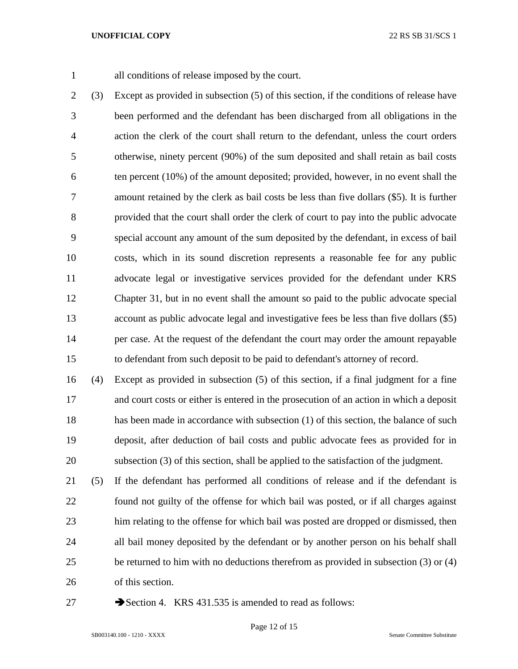all conditions of release imposed by the court.

 (3) Except as provided in subsection (5) of this section, if the conditions of release have been performed and the defendant has been discharged from all obligations in the action the clerk of the court shall return to the defendant, unless the court orders otherwise, ninety percent (90%) of the sum deposited and shall retain as bail costs ten percent (10%) of the amount deposited; provided, however, in no event shall the amount retained by the clerk as bail costs be less than five dollars (\$5). It is further provided that the court shall order the clerk of court to pay into the public advocate special account any amount of the sum deposited by the defendant, in excess of bail costs, which in its sound discretion represents a reasonable fee for any public advocate legal or investigative services provided for the defendant under KRS Chapter 31, but in no event shall the amount so paid to the public advocate special account as public advocate legal and investigative fees be less than five dollars (\$5) per case. At the request of the defendant the court may order the amount repayable to defendant from such deposit to be paid to defendant's attorney of record.

 (4) Except as provided in subsection (5) of this section, if a final judgment for a fine and court costs or either is entered in the prosecution of an action in which a deposit 18 has been made in accordance with subsection (1) of this section, the balance of such deposit, after deduction of bail costs and public advocate fees as provided for in subsection (3) of this section, shall be applied to the satisfaction of the judgment.

 (5) If the defendant has performed all conditions of release and if the defendant is found not guilty of the offense for which bail was posted, or if all charges against him relating to the offense for which bail was posted are dropped or dismissed, then all bail money deposited by the defendant or by another person on his behalf shall be returned to him with no deductions therefrom as provided in subsection (3) or (4) of this section.

27 Section 4. KRS 431.535 is amended to read as follows: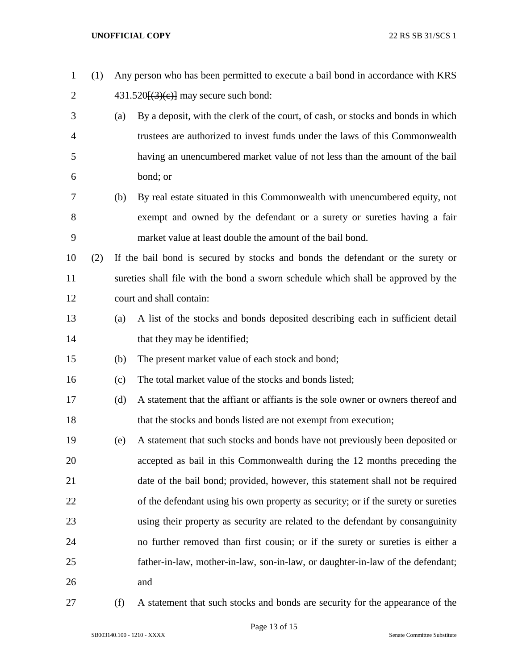| $\mathbf{1}$   | (1) |     | Any person who has been permitted to execute a bail bond in accordance with KRS   |
|----------------|-----|-----|-----------------------------------------------------------------------------------|
| $\overline{2}$ |     |     | $431.520\{(3)(e)\}$ may secure such bond:                                         |
| 3              |     | (a) | By a deposit, with the clerk of the court, of cash, or stocks and bonds in which  |
| 4              |     |     | trustees are authorized to invest funds under the laws of this Commonwealth       |
| 5              |     |     | having an unencumbered market value of not less than the amount of the bail       |
| 6              |     |     | bond; or                                                                          |
| 7              |     | (b) | By real estate situated in this Commonwealth with unencumbered equity, not        |
| 8              |     |     | exempt and owned by the defendant or a surety or sureties having a fair           |
| 9              |     |     | market value at least double the amount of the bail bond.                         |
| 10             | (2) |     | If the bail bond is secured by stocks and bonds the defendant or the surety or    |
| 11             |     |     | sureties shall file with the bond a sworn schedule which shall be approved by the |
| 12             |     |     | court and shall contain:                                                          |
| 13             |     | (a) | A list of the stocks and bonds deposited describing each in sufficient detail     |
| 14             |     |     | that they may be identified;                                                      |
| 15             |     | (b) | The present market value of each stock and bond;                                  |
| 16             |     | (c) | The total market value of the stocks and bonds listed;                            |
| 17             |     | (d) | A statement that the affiant or affiants is the sole owner or owners thereof and  |
| 18             |     |     | that the stocks and bonds listed are not exempt from execution;                   |
| 19             |     | (e) | A statement that such stocks and bonds have not previously been deposited or      |
| 20             |     |     | accepted as bail in this Commonwealth during the 12 months preceding the          |
| 21             |     |     | date of the bail bond; provided, however, this statement shall not be required    |
| 22             |     |     | of the defendant using his own property as security; or if the surety or sureties |
| 23             |     |     | using their property as security are related to the defendant by consanguinity    |
| 24             |     |     | no further removed than first cousin; or if the surety or sureties is either a    |
| 25             |     |     | father-in-law, mother-in-law, son-in-law, or daughter-in-law of the defendant;    |
| 26             |     |     | and                                                                               |
|                |     |     |                                                                                   |

(f) A statement that such stocks and bonds are security for the appearance of the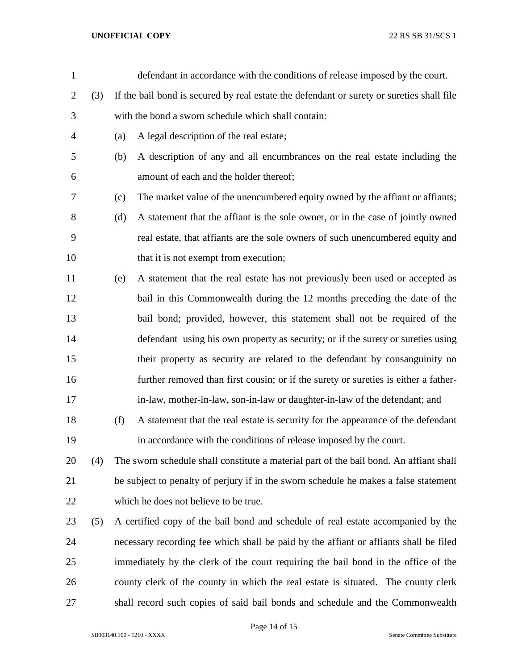| $\mathbf{1}$   |     |     | defendant in accordance with the conditions of release imposed by the court.              |
|----------------|-----|-----|-------------------------------------------------------------------------------------------|
| $\overline{2}$ | (3) |     | If the bail bond is secured by real estate the defendant or surety or sureties shall file |
| 3              |     |     | with the bond a sworn schedule which shall contain:                                       |
| 4              |     | (a) | A legal description of the real estate;                                                   |
| 5              |     | (b) | A description of any and all encumbrances on the real estate including the                |
| 6              |     |     | amount of each and the holder thereof;                                                    |
| 7              |     | (c) | The market value of the unencumbered equity owned by the affiant or affiants;             |
| 8              |     | (d) | A statement that the affiant is the sole owner, or in the case of jointly owned           |
| 9              |     |     | real estate, that affiants are the sole owners of such unencumbered equity and            |
| 10             |     |     | that it is not exempt from execution;                                                     |
| 11             |     | (e) | A statement that the real estate has not previously been used or accepted as              |
| 12             |     |     | bail in this Commonwealth during the 12 months preceding the date of the                  |
| 13             |     |     | bail bond; provided, however, this statement shall not be required of the                 |
| 14             |     |     | defendant using his own property as security; or if the surety or sureties using          |
| 15             |     |     | their property as security are related to the defendant by consanguinity no               |
| 16             |     |     | further removed than first cousin; or if the surety or sureties is either a father-       |
| 17             |     |     | in-law, mother-in-law, son-in-law or daughter-in-law of the defendant; and                |
| 18             |     | (f) | A statement that the real estate is security for the appearance of the defendant          |
| 19             |     |     | in accordance with the conditions of release imposed by the court.                        |
| 20             | (4) |     | The sworn schedule shall constitute a material part of the bail bond. An affiant shall    |
| 21             |     |     | be subject to penalty of perjury if in the sworn schedule he makes a false statement      |
| 22             |     |     | which he does not believe to be true.                                                     |
| 23             | (5) |     | A certified copy of the bail bond and schedule of real estate accompanied by the          |
| 24             |     |     | necessary recording fee which shall be paid by the affiant or affiants shall be filed     |
| 25             |     |     | immediately by the clerk of the court requiring the bail bond in the office of the        |
| 26             |     |     | county clerk of the county in which the real estate is situated. The county clerk         |
| 27             |     |     | shall record such copies of said bail bonds and schedule and the Commonwealth             |
|                |     |     |                                                                                           |

Page 14 of 15